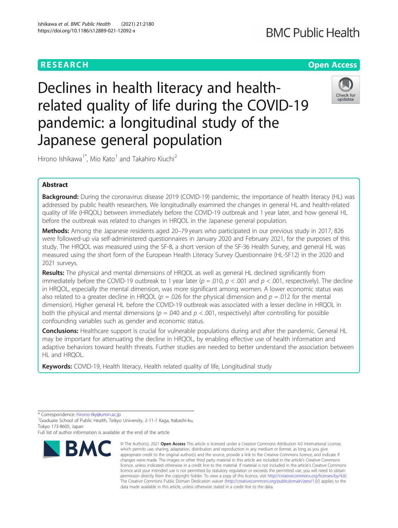## **RESEARCH CHE Open Access**

# **BMC Public Health**

Declines in health literacy and healthrelated quality of life during the COVID-19 pandemic: a longitudinal study of the Japanese general population



Hirono Ishikawa<sup>1\*</sup>, Mio Kato<sup>1</sup> and Takahiro Kiuchi<sup>2</sup>

### Abstract

Background: During the coronavirus disease 2019 (COVID-19) pandemic, the importance of health literacy (HL) was addressed by public health researchers. We longitudinally examined the changes in general HL and health-related quality of life (HRQOL) between immediately before the COVID-19 outbreak and 1 year later, and how general HL before the outbreak was related to changes in HRQOL in the Japanese general population.

Methods: Among the Japanese residents aged 20-79 years who participated in our previous study in 2017, 826 were followed-up via self-administered questionnaires in January 2020 and February 2021, for the purposes of this study. The HRQOL was measured using the SF-8, a short version of the SF-36 Health Survey, and general HL was measured using the short form of the European Health Literacy Survey Questionnaire (HL-SF12) in the 2020 and 2021 surveys.

Results: The physical and mental dimensions of HRQOL as well as general HL declined significantly from immediately before the COVID-19 outbreak to 1 year later ( $p = .010$ ,  $p < .001$  and  $p < .001$ , respectively). The decline in HRQOL, especially the mental dimension, was more significant among women. A lower economic status was also related to a greater decline in HRQOL ( $p = .026$  for the physical dimension and  $p = .012$  for the mental dimension). Higher general HL before the COVID-19 outbreak was associated with a lesser decline in HRQOL in both the physical and mental dimensions ( $p = .040$  and  $p < .001$ , respectively) after controlling for possible confounding variables such as gender and economic status.

Conclusions: Healthcare support is crucial for vulnerable populations during and after the pandemic. General HL may be important for attenuating the decline in HRQOL, by enabling effective use of health information and adaptive behaviors toward health threats. Further studies are needed to better understand the association between HL and HRQOL.

Keywords: COVID-19, Health literacy, Health related quality of life, Longitudinal study

\* Correspondence: [hirono-tky@umin.ac.jp](mailto:hirono-tky@umin.ac.jp) <sup>1</sup>

<sup>1</sup>Graduate School of Public Health, Teikyo University, 2-11-1 Kaga, Itabashi-ku, Tokyo 173-8605, Japan

Full list of author information is available at the end of the article



<sup>©</sup> The Author(s), 2021 **Open Access** This article is licensed under a Creative Commons Attribution 4.0 International License, which permits use, sharing, adaptation, distribution and reproduction in any medium or format, as long as you give appropriate credit to the original author(s) and the source, provide a link to the Creative Commons licence, and indicate if changes were made. The images or other third party material in this article are included in the article's Creative Commons licence, unless indicated otherwise in a credit line to the material. If material is not included in the article's Creative Commons licence and your intended use is not permitted by statutory regulation or exceeds the permitted use, you will need to obtain permission directly from the copyright holder. To view a copy of this licence, visit [http://creativecommons.org/licenses/by/4.0/.](http://creativecommons.org/licenses/by/4.0/) The Creative Commons Public Domain Dedication waiver [\(http://creativecommons.org/publicdomain/zero/1.0/](http://creativecommons.org/publicdomain/zero/1.0/)) applies to the data made available in this article, unless otherwise stated in a credit line to the data.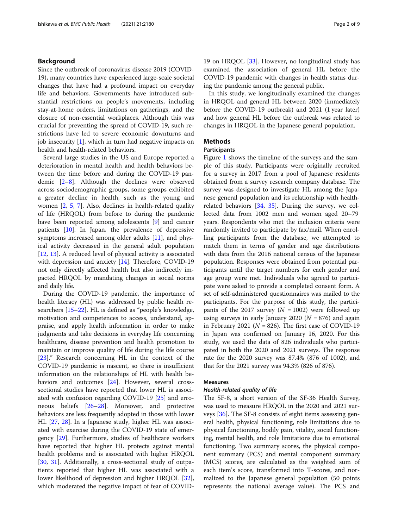#### Background

Since the outbreak of coronavirus disease 2019 (COVID-19), many countries have experienced large-scale societal changes that have had a profound impact on everyday life and behaviors. Governments have introduced substantial restrictions on people's movements, including stay-at-home orders, limitations on gatherings, and the closure of non-essential workplaces. Although this was crucial for preventing the spread of COVID-19, such restrictions have led to severe economic downturns and job insecurity  $[1]$  $[1]$ , which in turn had negative impacts on health and health-related behaviors.

Several large studies in the US and Europe reported a deterioration in mental health and health behaviors between the time before and during the COVID-19 pandemic [\[2](#page-7-0)–[8\]](#page-7-0). Although the declines were observed across sociodemographic groups, some groups exhibited a greater decline in health, such as the young and women [[2,](#page-7-0) [5,](#page-7-0) [7](#page-7-0)]. Also, declines in health-related quality of life (HRQOL) from before to during the pandemic have been reported among adolescents [\[9](#page-7-0)] and cancer patients [\[10](#page-7-0)]. In Japan, the prevalence of depressive symptoms increased among older adults [[11\]](#page-7-0), and physical activity decreased in the general adult population [[12,](#page-7-0) [13\]](#page-7-0). A reduced level of physical activity is associated with depression and anxiety [\[14](#page-7-0)]. Therefore, COVID-19 not only directly affected health but also indirectly impacted HRQOL by mandating changes in social norms and daily life.

During the COVID-19 pandemic, the importance of health literacy (HL) was addressed by public health researchers [[15](#page-7-0)–[22](#page-7-0)]. HL is defined as "people's knowledge, motivation and competences to access, understand, appraise, and apply health information in order to make judgments and take decisions in everyday life concerning healthcare, disease prevention and health promotion to maintain or improve quality of life during the life course [[23\]](#page-7-0)." Research concerning HL in the context of the COVID-19 pandemic is nascent, so there is insufficient information on the relationships of HL with health be-haviors and outcomes [\[24](#page-7-0)]. However, several crosssectional studies have reported that lower HL is associated with confusion regarding COVID-19 [\[25](#page-7-0)] and erroneous beliefs [[26](#page-7-0)–[28](#page-7-0)]. Moreover, and protective behaviors are less frequently adopted in those with lower HL [[27](#page-7-0), [28](#page-7-0)]. In a Japanese study, higher HL was associated with exercise during the COVID-19 state of emergency [[29\]](#page-7-0). Furthermore, studies of healthcare workers have reported that higher HL protects against mental health problems and is associated with higher HRQOL [[30,](#page-7-0) [31\]](#page-7-0). Additionally, a cross-sectional study of outpatients reported that higher HL was associated with a lower likelihood of depression and higher HRQOL [\[32](#page-8-0)], which moderated the negative impact of fear of COVID-

19 on HRQOL [[33\]](#page-8-0). However, no longitudinal study has examined the association of general HL before the COVID-19 pandemic with changes in health status during the pandemic among the general public.

In this study, we longitudinally examined the changes in HRQOL and general HL between 2020 (immediately before the COVID-19 outbreak) and 2021 (1 year later) and how general HL before the outbreak was related to changes in HRQOL in the Japanese general population.

#### **Methods**

#### **Participants**

Figure [1](#page-2-0) shows the timeline of the surveys and the sample of this study. Participants were originally recruited for a survey in 2017 from a pool of Japanese residents obtained from a survey research company database. The survey was designed to investigate HL among the Japanese general population and its relationship with healthrelated behaviors [[34](#page-8-0), [35](#page-8-0)]. During the survey, we collected data from 1002 men and women aged 20–79 years. Respondents who met the inclusion criteria were randomly invited to participate by fax/mail. When enrolling participants from the database, we attempted to match them in terms of gender and age distributions with data from the 2016 national census of the Japanese population. Responses were obtained from potential participants until the target numbers for each gender and age group were met. Individuals who agreed to participate were asked to provide a completed consent form. A set of self-administered questionnaires was mailed to the participants. For the purpose of this study, the participants of the 2017 survey  $(N = 1002)$  were followed up using surveys in early January 2020 ( $N = 876$ ) and again in February 2021 ( $N = 826$ ). The first case of COVID-19 in Japan was confirmed on January 16, 2020. For this study, we used the data of 826 individuals who participated in both the 2020 and 2021 surveys. The response rate for the 2020 survey was 87.4% (876 of 1002), and that for the 2021 survey was 94.3% (826 of 876).

#### Measures

#### Health-related quality of life

The SF-8, a short version of the SF-36 Health Survey, was used to measure HRQOL in the 2020 and 2021 surveys [[36\]](#page-8-0). The SF-8 consists of eight items assessing general health, physical functioning, role limitations due to physical functioning, bodily pain, vitality, social functioning, mental health, and role limitations due to emotional functioning. Two summary scores, the physical component summary (PCS) and mental component summary (MCS) scores, are calculated as the weighted sum of each item's score, transformed into T-scores, and normalized to the Japanese general population (50 points represents the national average value). The PCS and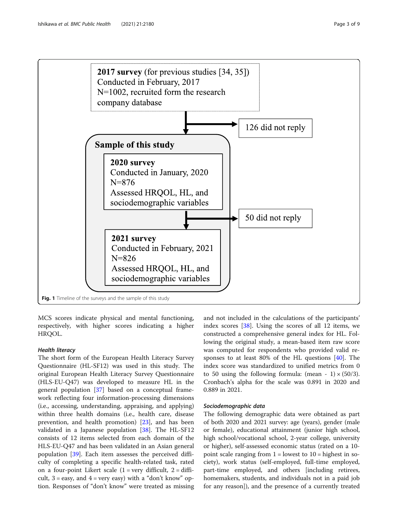<span id="page-2-0"></span>

MCS scores indicate physical and mental functioning, respectively, with higher scores indicating a higher HRQOL.

#### Health literacy

The short form of the European Health Literacy Survey Questionnaire (HL-SF12) was used in this study. The original European Health Literacy Survey Questionnaire (HLS-EU-Q47) was developed to measure HL in the general population [\[37](#page-8-0)] based on a conceptual framework reflecting four information-processing dimensions (i.e., accessing, understanding, appraising, and applying) within three health domains (i.e., health care, disease prevention, and health promotion) [[23](#page-7-0)], and has been validated in a Japanese population [[38](#page-8-0)]. The HL-SF12 consists of 12 items selected from each domain of the HLS-EU-Q47 and has been validated in an Asian general population [\[39](#page-8-0)]. Each item assesses the perceived difficulty of completing a specific health-related task, rated on a four-point Likert scale  $(1 = \text{very difficult}, 2 = \text{diffi-}$ cult,  $3 = \text{easy}$ , and  $4 = \text{very easy}$ ) with a "don't know" option. Responses of "don't know" were treated as missing and not included in the calculations of the participants' index scores [\[38\]](#page-8-0). Using the scores of all 12 items, we constructed a comprehensive general index for HL. Following the original study, a mean-based item raw score was computed for respondents who provided valid responses to at least 80% of the HL questions [[40\]](#page-8-0). The index score was standardized to unified metrics from 0 to 50 using the following formula: (mean - 1)  $\times$  (50/3). Cronbach's alpha for the scale was 0.891 in 2020 and 0.889 in 2021.

#### Sociodemographic data

The following demographic data were obtained as part of both 2020 and 2021 survey: age (years), gender (male or female), educational attainment (junior high school, high school/vocational school, 2-year college, university or higher), self-assessed economic status (rated on a 10 point scale ranging from  $1 =$  lowest to  $10 =$  highest in society), work status (self-employed, full-time employed, part-time employed, and others [including retirees, homemakers, students, and individuals not in a paid job for any reason]), and the presence of a currently treated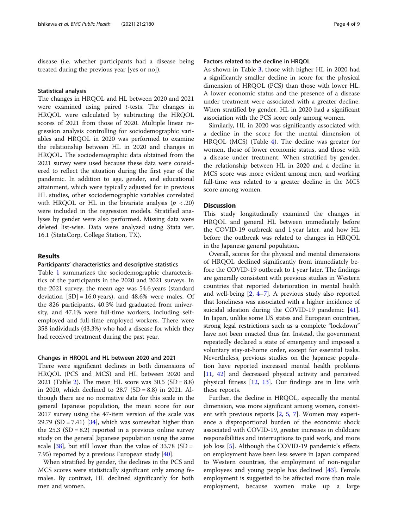disease (i.e. whether participants had a disease being treated during the previous year [yes or no]).

#### Statistical analysis

The changes in HRQOL and HL between 2020 and 2021 were examined using paired t-tests. The changes in HRQOL were calculated by subtracting the HRQOL scores of 2021 from those of 2020. Multiple linear regression analysis controlling for sociodemographic variables and HRQOL in 2020 was performed to examine the relationship between HL in 2020 and changes in HRQOL. The sociodemographic data obtained from the 2021 survey were used because these data were considered to reflect the situation during the first year of the pandemic. In addition to age, gender, and educational attainment, which were typically adjusted for in previous HL studies, other sociodemographic variables correlated with HRQOL or HL in the bivariate analysis ( $p < .20$ ) were included in the regression models. Stratified analyses by gender were also performed. Missing data were deleted list-wise. Data were analyzed using Stata ver. 16.1 (StataCorp, College Station, TX).

#### Results

#### Participants' characteristics and descriptive statistics

Table [1](#page-4-0) summarizes the sociodemographic characteristics of the participants in the 2020 and 2021 surveys. In the 2021 survey, the mean age was 54.6 years (standard deviation  $[SD] = 16.0$  years), and 48.6% were males. Of the 826 participants, 40.3% had graduated from university, and 47.1% were full-time workers, including selfemployed and full-time employed workers. There were 358 individuals (43.3%) who had a disease for which they had received treatment during the past year.

#### Changes in HRQOL and HL between 2020 and 2021

There were significant declines in both dimensions of HRQOL (PCS and MCS) and HL between 2020 and 2021 (Table [2\)](#page-5-0). The mean HL score was  $30.5$  (SD = 8.8) in 2020, which declined to 28.7 (SD = 8.8) in 2021. Although there are no normative data for this scale in the general Japanese population, the mean score for our 2017 survey using the 47-item version of the scale was 29.79  $(SD = 7.41)$  [\[34](#page-8-0)], which was somewhat higher than the  $25.3$  (SD = 8.2) reported in a previous online survey study on the general Japanese population using the same scale  $[38]$  $[38]$ , but still lower than the value of 33.78 (SD = 7.95) reported by a previous European study [[40\]](#page-8-0).

When stratified by gender, the declines in the PCS and MCS scores were statistically significant only among females. By contrast, HL declined significantly for both men and women.

#### Factors related to the decline in HRQOL

As shown in Table [3](#page-5-0), those with higher HL in 2020 had a significantly smaller decline in score for the physical dimension of HRQOL (PCS) than those with lower HL. A lower economic status and the presence of a disease under treatment were associated with a greater decline. When stratified by gender, HL in 2020 had a significant association with the PCS score only among women.

Similarly, HL in 2020 was significantly associated with a decline in the score for the mental dimension of HRQOL (MCS) (Table [4\)](#page-6-0). The decline was greater for women, those of lower economic status, and those with a disease under treatment. When stratified by gender, the relationship between HL in 2020 and a decline in MCS score was more evident among men, and working full-time was related to a greater decline in the MCS score among women.

#### **Discussion**

This study longitudinally examined the changes in HRQOL and general HL between immediately before the COVID-19 outbreak and 1 year later, and how HL before the outbreak was related to changes in HRQOL in the Japanese general population.

Overall, scores for the physical and mental dimensions of HRQOL declined significantly from immediately before the COVID-19 outbreak to 1 year later. The findings are generally consistent with previous studies in Western countries that reported deterioration in mental health and well-being [[2,](#page-7-0) [4](#page-7-0)–[7\]](#page-7-0). A previous study also reported that loneliness was associated with a higher incidence of suicidal ideation during the COVID-19 pandemic [\[41](#page-8-0)]. In Japan, unlike some US states and European countries, strong legal restrictions such as a complete "lockdown" have not been enacted thus far. Instead, the government repeatedly declared a state of emergency and imposed a voluntary stay-at-home order, except for essential tasks. Nevertheless, previous studies on the Japanese population have reported increased mental health problems [[11,](#page-7-0) [42\]](#page-8-0) and decreased physical activity and perceived physical fitness [[12,](#page-7-0) [13](#page-7-0)]. Our findings are in line with these reports.

Further, the decline in HRQOL, especially the mental dimension, was more significant among women, consistent with previous reports [\[2](#page-7-0), [5,](#page-7-0) [7\]](#page-7-0). Women may experience a disproportional burden of the economic shock associated with COVID-19, greater increases in childcare responsibilities and interruptions to paid work, and more job loss [[5\]](#page-7-0). Although the COVID-19 pandemic's effects on employment have been less severe in Japan compared to Western countries, the employment of non-regular employees and young people has declined [\[43\]](#page-8-0). Female employment is suggested to be affected more than male employment, because women make up a large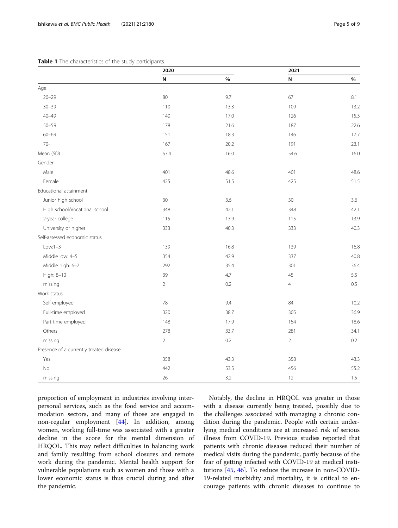#### <span id="page-4-0"></span>Table 1 The characteristics of the study participants

|                                         | 2020           |      | 2021           |         |
|-----------------------------------------|----------------|------|----------------|---------|
|                                         | N              | $\%$ | ${\sf N}$      | $\%$    |
| Age                                     |                |      |                |         |
| $20 - 29$                               | 80             | 9.7  | 67             | 8.1     |
| $30 - 39$                               | 110            | 13.3 | 109            | 13.2    |
| $40 - 49$                               | 140            | 17.0 | 126            | 15.3    |
| $50 - 59$                               | 178            | 21.6 | 187            | 22.6    |
| $60 - 69$                               | 151            | 18.3 | 146            | 17.7    |
| $70-$                                   | 167            | 20.2 | 191            | 23.1    |
| Mean (SD)                               | 53.4           | 16.0 | 54.6           | 16.0    |
| Gender                                  |                |      |                |         |
| Male                                    | 401            | 48.6 | 401            | 48.6    |
| Female                                  | 425            | 51.5 | 425            | 51.5    |
| Educational attainment                  |                |      |                |         |
| Junior high school                      | 30             | 3.6  | 30             | 3.6     |
| High school/Vocational school           | 348            | 42.1 | 348            | 42.1    |
| 2-year college                          | 115            | 13.9 | 115            | 13.9    |
| University or higher                    | 333            | 40.3 | 333            | 40.3    |
| Self-assessed economic status           |                |      |                |         |
| $Low:1-3$                               | 139            | 16.8 | 139            | 16.8    |
| Middle low: 4-5                         | 354            | 42.9 | 337            | 40.8    |
| Middle high: 6-7                        | 292            | 35.4 | 301            | 36.4    |
| High: 8-10                              | 39             | 4.7  | 45             | 5.5     |
| missing                                 | $\overline{2}$ | 0.2  | $\overline{4}$ | $0.5\,$ |
| Work status                             |                |      |                |         |
| Self-employed                           | 78             | 9.4  | 84             | 10.2    |
| Full-time employed                      | 320            | 38.7 | 305            | 36.9    |
| Part-time employed                      | 148            | 17.9 | 154            | 18.6    |
| Others                                  | 278            | 33.7 | 281            | 34.1    |
| missing                                 | $\overline{2}$ | 0.2  | $\overline{2}$ | 0.2     |
| Presence of a currently treated disease |                |      |                |         |
| Yes                                     | 358            | 43.3 | 358            | 43.3    |
| No                                      | 442            | 53.5 | 456            | 55.2    |
| missing                                 | 26             | 3.2  | 12             | $1.5\,$ |

proportion of employment in industries involving interpersonal services, such as the food service and accommodation sectors, and many of those are engaged in non-regular employment [[44\]](#page-8-0). In addition, among women, working full-time was associated with a greater decline in the score for the mental dimension of HRQOL. This may reflect difficulties in balancing work and family resulting from school closures and remote work during the pandemic. Mental health support for vulnerable populations such as women and those with a lower economic status is thus crucial during and after the pandemic.

Notably, the decline in HRQOL was greater in those with a disease currently being treated, possibly due to the challenges associated with managing a chronic condition during the pandemic. People with certain underlying medical conditions are at increased risk of serious illness from COVID-19. Previous studies reported that patients with chronic diseases reduced their number of medical visits during the pandemic, partly because of the fear of getting infected with COVID-19 at medical institutions [[45,](#page-8-0) [46](#page-8-0)]. To reduce the increase in non-COVID-19-related morbidity and mortality, it is critical to encourage patients with chronic diseases to continue to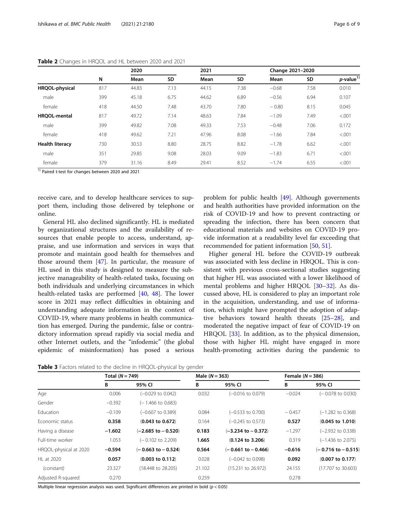|                        | N   | 2020  |      | 2021  |      | Change 2021-2020 |      |                    |
|------------------------|-----|-------|------|-------|------|------------------|------|--------------------|
|                        |     | Mean  | SD   | Mean  | SD   | Mean             | SD   | $p$ -value $^{1)}$ |
| HRQOL-physical         | 817 | 44.83 | 7.13 | 44.15 | 7.38 | $-0.68$          | 7.58 | 0.010              |
| male                   | 399 | 45.18 | 6.75 | 44.62 | 6.89 | $-0.56$          | 6.94 | 0.107              |
| female                 | 418 | 44.50 | 7.48 | 43.70 | 7.80 | $-0.80$          | 8.15 | 0.045              |
| <b>HROOL-mental</b>    | 817 | 49.72 | 7.14 | 48.63 | 7.84 | $-1.09$          | 7.49 | < .001             |
| male                   | 399 | 49.82 | 7.08 | 49.33 | 7.53 | $-0.48$          | 7.06 | 0.172              |
| female                 | 418 | 49.62 | 7.21 | 47.96 | 8.08 | $-1.66$          | 7.84 | < .001             |
| <b>Health literacy</b> | 730 | 30.53 | 8.80 | 28.75 | 8.82 | $-1.78$          | 6.62 | < .001             |
| male                   | 351 | 29.85 | 9.08 | 28.03 | 9.09 | $-1.83$          | 6.71 | < .001             |
| female                 | 379 | 31.16 | 8.49 | 29.41 | 8.52 | $-1.74$          | 6.55 | < .001             |

<span id="page-5-0"></span>Table 2 Changes in HRQOL and HL between 2020 and 2021

<sup>1)</sup> Paired t-test for changes between 2020 and 2021

receive care, and to develop healthcare services to support them, including those delivered by telephone or online.

General HL also declined significantly. HL is mediated by organizational structures and the availability of resources that enable people to access, understand, appraise, and use information and services in ways that promote and maintain good health for themselves and those around them [\[47](#page-8-0)]. In particular, the measure of HL used in this study is designed to measure the subjective manageability of health-related tasks, focusing on both individuals and underlying circumstances in which health-related tasks are performed [[40](#page-8-0), [48\]](#page-8-0). The lower score in 2021 may reflect difficulties in obtaining and understanding adequate information in the context of COVID-19, where many problems in health communication has emerged. During the pandemic, false or contradictory information spread rapidly via social media and other Internet outlets, and the "infodemic" (the global epidemic of misinformation) has posed a serious

Table 3 Factors related to the decline in HRQOL-physical by gender

problem for public health [[49\]](#page-8-0). Although governments and health authorities have provided information on the risk of COVID-19 and how to prevent contracting or spreading the infection, there has been concern that educational materials and websites on COVID-19 provide information at a readability level far exceeding that recommended for patient information [[50,](#page-8-0) [51](#page-8-0)].

Higher general HL before the COVID-19 outbreak was associated with less decline in HRQOL. This is consistent with previous cross-sectional studies suggesting that higher HL was associated with a lower likelihood of mental problems and higher HRQOL [[30](#page-7-0)–[32](#page-8-0)]. As discussed above, HL is considered to play an important role in the acquisition, understanding, and use of information, which might have prompted the adoption of adaptive behaviors toward health threats [\[25](#page-7-0)–[28\]](#page-7-0), and moderated the negative impact of fear of COVID-19 on HRQOL [\[33\]](#page-8-0). In addition, as to the physical dimension, those with higher HL might have engaged in more health-promoting activities during the pandemic to

|                        | Total $(N = 749)$ |                               |        | Male $(N = 363)$             |          | Female $(N = 386)$           |  |
|------------------------|-------------------|-------------------------------|--------|------------------------------|----------|------------------------------|--|
|                        | В                 | 95% CI                        | В      | 95% CI                       | B        | 95% CI                       |  |
| Age                    | 0.006             | $(-0.029$ to $0.042)$         | 0.032  | (-0.016 to 0.079)            | $-0.024$ | $(-0.078 \text{ to } 0.030)$ |  |
| Gender                 | $-0.392$          | (– 1.466 to 0.683)            |        |                              |          |                              |  |
| <b>Education</b>       | $-0.109$          | $(-0.607)$ to 0.389)          | 0.084  | $(-0.533$ to $0.700)$        | $-0.457$ | $(-1.282$ to 0.368)          |  |
| Economic status        | 0.358             | $(0.043 \text{ to } 0.672)$   | 0.164  | $(-0.245 \text{ to } 0.573)$ | 0.527    | $(0.045 \text{ to } 1.010)$  |  |
| Having a disease       | $-1.602$          | $(-2.685$ to $-0.520)$        | 0.183  | $(-3.234$ to $-0.372)$       | $-1.297$ | $(-2.932$ to $0.338)$        |  |
| Full-time worker       | 1.053             | $(-0.102 \text{ to } 2.209)$  | 1.665  | $(0.124$ to 3.206)           | 0.319    | $(-1.436 \text{ to } 2.075)$ |  |
| HRQOL-physical at 2020 | $-0.594$          | $(-0.663$ to $-0.524)$        | 0.564  | $(-0.661$ to $-0.466)$       | $-0.616$ | $(-0.716$ to $-0.515)$       |  |
| HL at 2020             | 0.057             | $(0.003 \text{ to } 0.112)$   | 0.028  | $(-0.042 \text{ to } 0.098)$ | 0.092    | $(0.007 \text{ to } 0.177)$  |  |
| (constant)             | 23.327            | $(18.448 \text{ to } 28.205)$ | 21.102 | $(15.231$ to $26.972)$       | 24.155   | (17.707 to 30.603)           |  |
| Adjusted R-squared     | 0.270             |                               | 0.259  |                              | 0.278    |                              |  |

Multiple linear regression analysis was used. Significant differences are printed in bold ( $p < 0.05$ )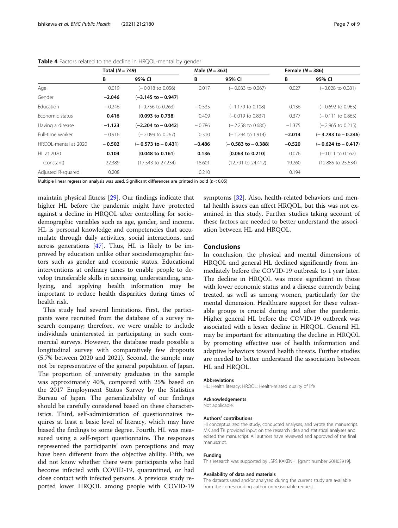|                      | Total $(N = 749)$ |                               |          | Male $(N = 363)$             |          | Female $(N = 386)$           |  |
|----------------------|-------------------|-------------------------------|----------|------------------------------|----------|------------------------------|--|
|                      | В                 | 95% CI                        | В        | 95% CI                       | В        | 95% CI                       |  |
| Age                  | 0.019             | $(-0.018 \text{ to } 0.056)$  | 0.017    | $(-0.033$ to 0.067)          | 0.027    | $(-0.028 \text{ to } 0.081)$ |  |
| Gender               | $-2.046$          | $(-3.145$ to $-0.947)$        |          |                              |          |                              |  |
| Education            | $-0.246$          | $(-0.756 \text{ to } 0.263)$  | $-0.535$ | $(-1.179 \text{ to } 0.108)$ | 0.136    | $(-0.692 \text{ to } 0.965)$ |  |
| Economic status      | 0.416             | $(0.093$ to $0.738)$          | 0.409    | $(-0.019$ to 0.837)          | 0.377    | $(-0.111$ to 0.865)          |  |
| Having a disease     | $-1.123$          | $(-2.204 \text{ to } -0.042)$ | $-0.786$ | $(-2.258 \text{ to } 0.686)$ | $-1.375$ | $(-2.965 \text{ to } 0.215)$ |  |
| Full-time worker     | $-0.916$          | (-2.099 to 0.267)             | 0.310    | $(-1.294 \text{ to } 1.914)$ | $-2.014$ | $(-3.783$ to $-0.246)$       |  |
| HROOL-mental at 2020 | $-0.502$          | $(-0.573$ to $-0.431)$        | $-0.486$ | $(-0.583$ to $-0.388)$       | $-0.520$ | $(-0.624$ to $-0.417)$       |  |
| HL at 2020           | 0.104             | $(0.048 \text{ to } 0.161)$   | 0.136    | $(0.063$ to $0.210)$         | 0.076    | (-0.011 to 0.162)            |  |
| (constant)           | 22.389            | (17.543 to 27.234)            | 18.601   | $(12.791$ to $24.412)$       | 19.260   | (12.885 to 25.634)           |  |
| Adjusted R-squared   | 0.208             |                               | 0.210    |                              | 0.194    |                              |  |

<span id="page-6-0"></span>Table 4 Factors related to the decline in HRQOL-mental by gender

Multiple linear regression analysis was used. Significant differences are printed in bold ( $p < 0.05$ )

maintain physical fitness [[29](#page-7-0)]. Our findings indicate that higher HL before the pandemic might have protected against a decline in HRQOL after controlling for sociodemographic variables such as age, gender, and income. HL is personal knowledge and competencies that accumulate through daily activities, social interactions, and across generations  $[47]$  $[47]$  $[47]$ . Thus, HL is likely to be improved by education unlike other sociodemographic factors such as gender and economic status. Educational interventions at ordinary times to enable people to develop transferable skills in accessing, understanding, analyzing, and applying health information may be important to reduce health disparities during times of health risk.

This study had several limitations. First, the participants were recruited from the database of a survey research company; therefore, we were unable to include individuals uninterested in participating in such commercial surveys. However, the database made possible a longitudinal survey with comparatively few dropouts (5.7% between 2020 and 2021). Second, the sample may not be representative of the general population of Japan. The proportion of university graduates in the sample was approximately 40%, compared with 25% based on the 2017 Employment Status Survey by the Statistics Bureau of Japan. The generalizability of our findings should be carefully considered based on these characteristics. Third, self-administration of questionnaires requires at least a basic level of literacy, which may have biased the findings to some degree. Fourth, HL was measured using a self-report questionnaire. The responses represented the participants' own perceptions and may have been different from the objective ability. Fifth, we did not know whether there were participants who had become infected with COVID-19, quarantined, or had close contact with infected persons. A previous study reported lower HRQOL among people with COVID-19 symptoms [\[32](#page-8-0)]. Also, health-related behaviors and mental health issues can affect HRQOL, but this was not examined in this study. Further studies taking account of these factors are needed to better understand the association between HL and HRQOL.

#### Conclusions

In conclusion, the physical and mental dimensions of HRQOL and general HL declined significantly from immediately before the COVID-19 outbreak to 1 year later. The decline in HRQOL was more significant in those with lower economic status and a disease currently being treated, as well as among women, particularly for the mental dimension. Healthcare support for these vulnerable groups is crucial during and after the pandemic. Higher general HL before the COVID-19 outbreak was associated with a lesser decline in HRQOL. General HL may be important for attenuating the decline in HRQOL by promoting effective use of health information and adaptive behaviors toward health threats. Further studies are needed to better understand the association between HL and HRQOL.

#### Abbreviations

HL: Health literacy; HRQOL: Health-related quality of life

#### Acknowledgements

Not applicable.

#### Authors' contributions

HI conceptualized the study, conducted analyses, and wrote the manuscript. MK and TK provided input on the research idea and statistical analyses and edited the manuscript. All authors have reviewed and approved of the final manuscript.

#### Funding

This research was supported by JSPS KAKENHI [grant number 20H03919].

#### Availability of data and materials

The datasets used and/or analysed during the current study are available from the corresponding author on reasonable request.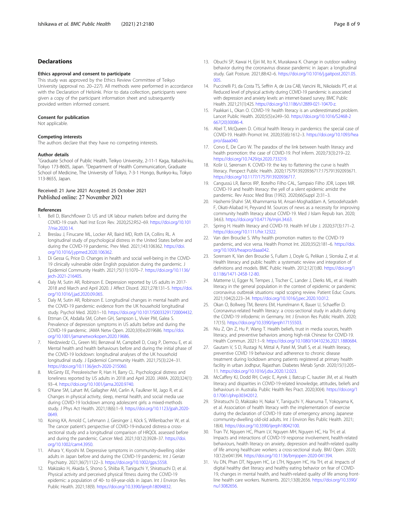#### <span id="page-7-0"></span>Declarations

#### Ethics approval and consent to participate

This study was approved by the Ethics Review Committee of Teikyo University (approval no. 20–227). All methods were performed in accordance with the Declaration of Helsinki. Prior to data collection, participants were given a copy of the participant information sheet and subsequently provided written informed consent.

#### Consent for publication

Not applicable.

#### Competing interests

The authors declare that they have no competing interests.

#### Author details

<sup>1</sup>Graduate School of Public Health, Teikyo University, 2-11-1 Kaga, Itabashi-ku, Tokyo 173-8605, Japan. <sup>2</sup>Department of Health Communication, Graduate School of Medicine, The University of Tokyo, 7-3-1 Hongo, Bunkyo-ku, Tokyo 113-8655, Japan.

# Received: 21 June 2021 Accepted: 25 October 2021<br>Published online: 27 November 2021

#### References

- 1. Bell D, Blanchflower D. US and UK labour markets before and during the COVID-19 crash. Natl Inst Econ Rev. 2020;252:R52–69. [https://doi.org/10.101](https://doi.org/10.1017/nie.2020.14) [7/nie.2020.14](https://doi.org/10.1017/nie.2020.14).
- 2. Breslau J, Finucane ML, Locker AR, Baird MD, Roth EA, Collins RL. A longitudinal study of psychological distress in the United States before and during the COVID-19 pandemic. Prev Med. 2021;143:106362. [https://doi.](https://doi.org/10.1016/j.ypmed.2020.106362) [org/10.1016/j.ypmed.2020.106362](https://doi.org/10.1016/j.ypmed.2020.106362).
- 3. Di Gessa G, Price D. Changes in health and social well-being in the COVID-19 clinically vulnerable older English population during the pandemic. J Epidemiol Community Health. 2021;75(11):1070–7. [https://doi.org/10.1136/](https://doi.org/10.1136/jech-2021-216405) [jech-2021-216405.](https://doi.org/10.1136/jech-2021-216405)
- 4. Daly M, Sutin AR, Robinson E. Depression reported by US adults in 2017- 2018 and March and April 2020. J Affect Disord. 2021;278:131–5. [https://doi.](https://doi.org/10.1016/j.jad.2020.09.065) [org/10.1016/j.jad.2020.09.065](https://doi.org/10.1016/j.jad.2020.09.065).
- 5. Daly M, Sutin AR, Robinson E. Longitudinal changes in mental health and the COVID-19 pandemic: evidence from the UK household longitudinal study. Psychol Med. 2020:1–10. <https://doi.org/10.1017/S0033291720004432>.
- 6. Ettman CK, Abdalla SM, Cohen GH, Sampson L, Vivier PM, Galea S. Prevalence of depression symptoms in US adults before and during the COVID-19 pandemic. JAMA Netw Open. 2020;3(9):e2019686. [https://doi.](https://doi.org/10.1001/jamanetworkopen.2020.19686) [org/10.1001/jamanetworkopen.2020.19686.](https://doi.org/10.1001/jamanetworkopen.2020.19686)
- 7. Niedzwiedz CL, Green MJ, Benzeval M, Campbell D, Craig P, Demou E, et al. Mental health and health behaviours before and during the initial phase of the COVID-19 lockdown: longitudinal analyses of the UK household longitudinal study. J Epidemiol Community Health. 2021;75(3):224–31. [https://doi.org/10.1136/jech-2020-215060.](https://doi.org/10.1136/jech-2020-215060)
- 8. McGinty EE, Presskreischer R, Han H, Barry CL. Psychological distress and loneliness reported by US adults in 2018 and April 2020. JAMA. 2020;324(1): 93–4. <https://doi.org/10.1001/jama.2020.9740>.
- 9. O'Kane SM, Lahart IM, Gallagher AM, Carlin A, Faulkner M, Jago R, et al. Changes in physical activity, sleep, mental health, and social media use during COVID-19 lockdown among adolescent girls: a mixed-methods study. J Phys Act Health. 2021;18(6):1–9. [https://doi.org/10.1123/jpah.2020-](https://doi.org/10.1123/jpah.2020-0649) [0649](https://doi.org/10.1123/jpah.2020-0649).
- 10. Koinig KA, Arnold C, Lehmann J, Giesinger J, Köck S, Willenbacher W, et al. The cancer patient's perspective of COVID-19-induced distress-a crosssectional study and a longitudinal comparison of HRQOL assessed before and during the pandemic. Cancer Med. 2021;10(12):3928–37. [https://doi.](https://doi.org/10.1002/cam4.3950) [org/10.1002/cam4.3950](https://doi.org/10.1002/cam4.3950).
- 11. Aihara Y, Kiyoshi M. Depressive symptoms in community-dwelling older adults in Japan before and during the COVID-19 pandemic. Int J Geriatr Psychiatry. 2021;36(7):1122–3. [https://doi.org/10.1002/gps.5558.](https://doi.org/10.1002/gps.5558)
- 12. Makizako H, Akaida S, Shono S, Shiiba R, Taniguchi Y, Shiratsuchi D, et al. Physical activity and perceived physical fitness during the COVID-19 epidemic: a population of 40- to 69-year-olds in Japan. Int J Environ Res Public Health. 2021;18(9). [https://doi.org/10.3390/ijerph18094832.](https://doi.org/10.3390/ijerph18094832)
- 13. Obuchi SP, Kawai H, Ejiri M, Ito K, Murakawa K. Change in outdoor walking behavior during the coronavirus disease pandemic in Japan: a longitudinal study. Gait Posture. 2021;88:42–6. [https://doi.org/10.1016/j.gaitpost.2021.05.](https://doi.org/10.1016/j.gaitpost.2021.05.005) [005.](https://doi.org/10.1016/j.gaitpost.2021.05.005)
- 14. Puccinelli PJ, da Costa TS, Seffrin A, de Lira CAB, Vancini RL, Nikolaidis PT, et al. Reduced level of physical activity during COVID-19 pandemic is associated with depression and anxiety levels: an internet-based survey. BMC Public Health. 2021;21(1):425. <https://doi.org/10.1186/s12889-021-10470-z>.
- 15. Paakkari L, Okan O. COVID-19: health literacy is an underestimated problem. Lancet Public Health. 2020;5(5):e249–50. [https://doi.org/10.1016/S2468-2](https://doi.org/10.1016/S2468-2667(20)30086-4) [667\(20\)30086-4](https://doi.org/10.1016/S2468-2667(20)30086-4).
- 16. Abel T, McQueen D. Critical health literacy in pandemics: the special case of COVID-19. Health Promot Int. 2020;35(6):1612–3. [https://doi.org/10.1093/hea](https://doi.org/10.1093/heapro/daaa040) [pro/daaa040.](https://doi.org/10.1093/heapro/daaa040)
- 17. Corvo E, De Caro W. The paradox of the link between health literacy and health promotion: the case of COVID-19. Prof Inferm. 2020;73(3):219–22. [https://doi.org/10.7429/pi.2020.733219.](https://doi.org/10.7429/pi.2020.733219)
- 18. Košir U, Sørensen K. COVID-19: the key to flattening the curve is health literacy. Perspect Public Health. 2020;1757913920936717:175791392093671. [https://doi.org/10.1177/1757913920936717.](https://doi.org/10.1177/1757913920936717)
- 19. Cangussú LR, Barros IRP, Botelho Filho CAL, Sampaio Filho JDR, Lopes MR. COVID-19 and health literacy: the yell of a silent epidemic amidst the pandemic. Rev Assoc Med Bras (1992). 2020;66(Suppl 2):31–3.
- 20. Hashemi-Shahri SM, Khammarnia M, Ansari-Moghaddam A, Setoodehzadeh F, Okati-Aliabad H, Peyvand M. Sources of news as a necessity for improving community health literacy about COVID-19. Med J Islam Repub Iran. 2020; 34:63. [https://doi.org/10.47176/mjiri.34.63.](https://doi.org/10.47176/mjiri.34.63)
- 21. Spring H. Health literacy and COVID-19. Health Inf Libr J. 2020;37(3):171–2. [https://doi.org/10.1111/hir.12322.](https://doi.org/10.1111/hir.12322)
- 22. Van den Broucke S. Why health promotion matters to the COVID-19 pandemic, and vice versa. Health Promot Int. 2020;35(2):181–6. [https://doi.](https://doi.org/10.1093/heapro/daaa042) [org/10.1093/heapro/daaa042](https://doi.org/10.1093/heapro/daaa042).
- 23. Sorensen K, Van den Broucke S, Fullam J, Doyle G, Pelikan J, Slonska Z, et al. Health literacy and public health: a systematic review and integration of definitions and models. BMC Public Health. 2012;12(1):80. [https://doi.org/1](https://doi.org/10.1186/1471-2458-12-80) [0.1186/1471-2458-12-80.](https://doi.org/10.1186/1471-2458-12-80)
- 24. Matterne U, Egger N, Tempes J, Tischer C, Lander J, Dierks ML, et al. Health literacy in the general population in the context of epidemic or pandemic coronavirus outbreak situations: rapid scoping review. Patient Educ Couns. 2021;104(2):223–34. [https://doi.org/10.1016/j.pec.2020.10.012.](https://doi.org/10.1016/j.pec.2020.10.012)
- 25. Okan O, Bollweg TM, Berens EM, Hurrelmann K, Bauer U, Schaeffer D. Coronavirus-related health literacy: a cross-sectional study in adults during the COVID-19 infodemic in Germany. Int J Environ Res Public Health. 2020; 17(15). <https://doi.org/10.3390/ijerph17155503>.
- 26. Niu Z, Qin Z, Hu P, Wang T. Health beliefs, trust in media sources, health literacy, and preventive behaviors among high-risk Chinese for COVID-19. Health Commun. 2021:1–9. <https://doi.org/10.1080/10410236.2021.1880684>.
- 27. Gautam V, S D, Rustagi N, Mittal A, Patel M, Shafi S, et al. Health literacy, preventive COVID 19 behaviour and adherence to chronic disease treatment during lockdown among patients registered at primary health facility in urban Jodhpur, Rajasthan. Diabetes Metab Syndr. 2020;15(1):205– 11. [https://doi.org/10.1016/j.dsx.2020.12.023.](https://doi.org/10.1016/j.dsx.2020.12.023)
- 28. McCaffery KJ, Dodd RH, Cvejic E, Ayrek J, Batcup C, Isautier JM, et al. Health literacy and disparities in COVID-19-related knowledge, attitudes, beliefs and behaviours in Australia. Public Health Res Pract. 2020;30(4). [https://doi.org/1](https://doi.org/10.17061/phrp30342012) [0.17061/phrp30342012.](https://doi.org/10.17061/phrp30342012)
- 29. Shiratsuchi D, Makizako H, Nakai Y, Taniguchi Y, Akanuma T, Yokoyama K, et al. Association of health literacy with the implementation of exercise during the declaration of COVID-19 state of emergency among Japanese community-dwelling old-old adults. Int J Environ Res Public Health. 2021; 18(4). [https://doi.org/10.3390/ijerph18042100.](https://doi.org/10.3390/ijerph18042100)
- 30. Tran TV, Nguyen HC, Pham LV, Nguyen MH, Nguyen HC, Ha TH, et al. Impacts and interactions of COVID-19 response involvement, health-related behaviours, health literacy on anxiety, depression and health-related quality of life among healthcare workers: a cross-sectional study. BMJ Open. 2020; 10(12):e041394. [https://doi.org/10.1136/bmjopen-2020-041394.](https://doi.org/10.1136/bmjopen-2020-041394)
- 31. Vu DN, Phan DT, Nguyen HC, Le LTH, Nguyen HC, Ha TH, et al. Impacts of digital healthy diet literacy and healthy eating behavior on fear of COVID-19, changes in mental health, and health-related quality of life among frontline health care workers. Nutrients. 2021;13(8):2656. [https://doi.org/10.3390/](https://doi.org/10.3390/nu13082656) [nu13082656.](https://doi.org/10.3390/nu13082656)